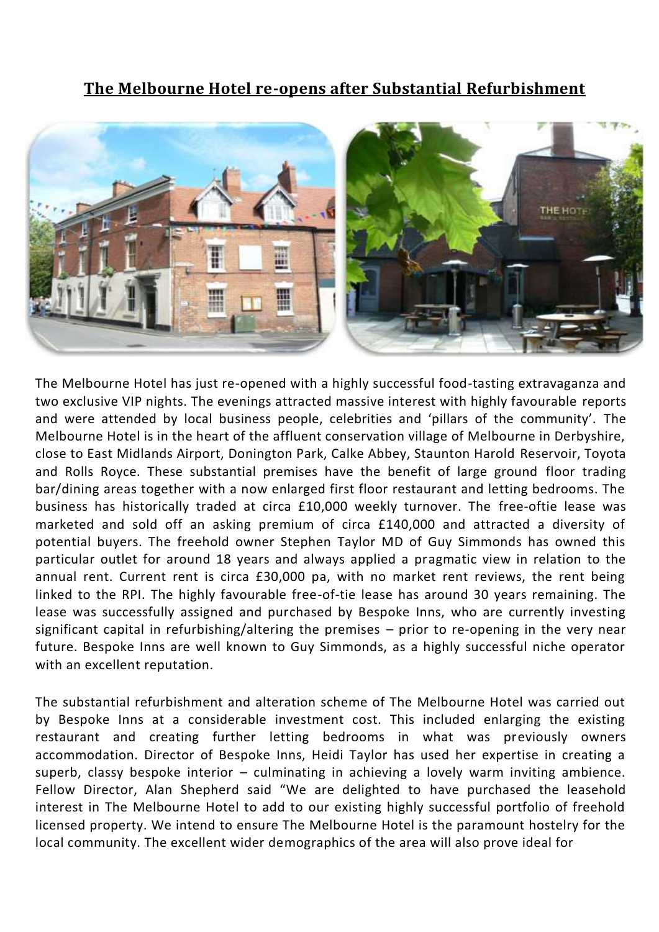## **The Melbourne Hotel re-opens after Substantial Refurbishment**



The Melbourne Hotel has just re-opened with a highly successful food-tasting extravaganza and two exclusive VIP nights. The evenings attracted massive interest with highly favourable reports and were attended by local business people, celebrities and 'pillars of the community'. The Melbourne Hotel is in the heart of the affluent conservation village of Melbourne in Derbyshire, close to East Midlands Airport, Donington Park, Calke Abbey, Staunton Harold Reservoir, Toyota and Rolls Royce. These substantial premises have the benefit of large ground floor trading bar/dining areas together with a now enlarged first floor restaurant and letting bedrooms. The business has historically traded at circa £10,000 weekly turnover. The free-oftie lease was marketed and sold off an asking premium of circa £140,000 and attracted a diversity of potential buyers. The freehold owner Stephen Taylor MD of Guy Simmonds has owned this particular outlet for around 18 years and always applied a pragmatic view in relation to the annual rent. Current rent is circa £30,000 pa, with no market rent reviews, the rent being linked to the RPI. The highly favourable free-of-tie lease has around 30 years remaining. The lease was successfully assigned and purchased by Bespoke Inns, who are currently investing significant capital in refurbishing/altering the premises – prior to re-opening in the very near future. Bespoke Inns are well known to Guy Simmonds, as a highly successful niche operator with an excellent reputation.

The substantial refurbishment and alteration scheme of The Melbourne Hotel was carried out by Bespoke Inns at a considerable investment cost. This included enlarging the existing restaurant and creating further letting bedrooms in what was previously owners accommodation. Director of Bespoke Inns, Heidi Taylor has used her expertise in creating a superb, classy bespoke interior – culminating in achieving a lovely warm inviting ambience. Fellow Director, Alan Shepherd said "We are delighted to have purchased the leasehold interest in The Melbourne Hotel to add to our existing highly successful portfolio of freehold licensed property. We intend to ensure The Melbourne Hotel is the paramount hostelry for the local community. The excellent wider demographics of the area will also prove ideal for